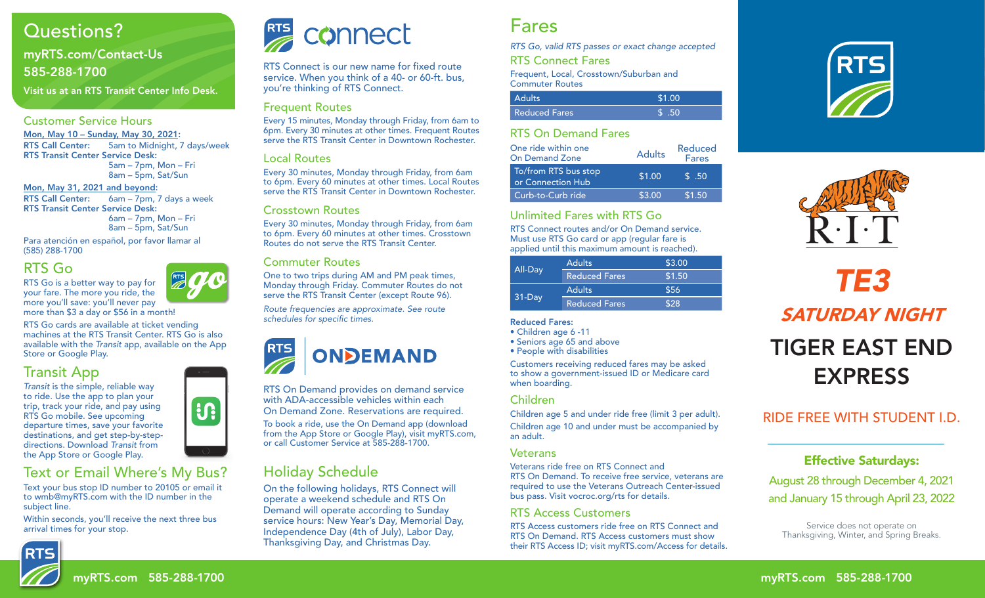# Questions?

## myRTS.com/Contact-Us 585-288-1700

Visit us at an RTS Transit Center Info Desk.

#### Customer Service Hours

Mon, May 10 – Sunday, May 30, 2021: RTS Call Center: 5am to Midnight, 7 days/week RTS Transit Center Service Desk: 5am – 7pm, Mon – Fri 8am – 5pm, Sat/Sun

Mon, May 31, 2021 and beyond: RTS Call Center: 6am – 7pm, 7 days a week RTS Transit Center Service Desk: 6am – 7pm, Mon – Fri 8am – 5pm, Sat/Sun

Para atención en español, por favor llamar al (585) 288-1700

## RTS Go

RTS Go is a better way to pay for your fare. The more you ride, the more you'll save: you'll never pay more than \$3 a day or \$56 in a month!

RTS Go cards are available at ticket vending machines at the RTS Transit Center. RTS Go is also available with the *Transit* app, available on the App Store or Google Play.

## Transit App

*Transit* is the simple, reliable way to ride. Use the app to plan your trip, track your ride, and pay using RTS Go mobile. See upcoming departure times, save your favorite destinations, and get step-by-stepdirections. Download *Transit* from the App Store or Google Play.

## Text or Email Where's My Bus?

Text your bus stop ID number to 20105 or email it to wmb@myRTS.com with the ID number in the subject line.

Within seconds, you'll receive the next three bus arrival times for your stop.





RTS Connect is our new name for fixed route service. When you think of a 40- or 60-ft. bus, you're thinking of RTS Connect.

#### Frequent Routes

Every 15 minutes, Monday through Friday, from 6am to 6pm. Every 30 minutes at other times. Frequent Routes serve the RTS Transit Center in Downtown Rochester.

#### Local Routes

Every 30 minutes, Monday through Friday, from 6am to 6pm. Every 60 minutes at other times. Local Routes serve the RTS Transit Center in Downtown Rochester.

#### Crosstown Routes

Every 30 minutes, Monday through Friday, from 6am to 6pm. Every 60 minutes at other times. Crosstown Routes do not serve the RTS Transit Center.

### Commuter Routes

One to two trips during AM and PM peak times, Monday through Friday. Commuter Routes do not serve the RTS Transit Center (except Route 96).

*Route frequencies are approximate. See route*  schedules for specific times.



RTS On Demand provides on demand service with ADA-accessible vehicles within each On Demand Zone. Reservations are required.

To book a ride, use the On Demand app (download from the App Store or Google Play), visit myRTS.com, or call Customer Service at 585-288-1700.

# Holiday Schedule

On the following holidays, RTS Connect will operate a weekend schedule and RTS On Demand will operate according to Sunday service hours: New Year's Day, Memorial Day, Independence Day (4th of July), Labor Day, Thanksgiving Day, and Christmas Day.

# Fares

*RTS Go, valid RTS passes or exact change accepted*

RTS Connect Fares

Frequent, Local, Crosstown/Suburban and Commuter Routes

| <b>Adults</b>        | \$1.00 |
|----------------------|--------|
| <b>Reduced Fares</b> |        |

### RTS On Demand Fares

| One ride within one<br><b>On Demand Zone</b> | <b>Adults</b> | Reduced<br><b>Fares</b> |  |
|----------------------------------------------|---------------|-------------------------|--|
| To/from RTS bus stop<br>or Connection Hub    | \$1.00        | $\sqrt{5}$ .50          |  |
| Curb-to-Curb ride                            | \$3.00        | \$1.50                  |  |

### Unlimited Fares with RTS Go

RTS Connect routes and/or On Demand service. Must use RTS Go card or app (regular fare is applied until this maximum amount is reached).

|          | <b>Adults</b>        | \$3.00 |
|----------|----------------------|--------|
| All-Day  | <b>Reduced Fares</b> | \$1.50 |
|          | <b>Adults</b>        | \$56   |
| $31-Dav$ | <b>Reduced Fares</b> | \$28   |

#### Reduced Fares:

• Children age 6 -11

• Seniors age 65 and above

• People with disabilities

Customers receiving reduced fares may be asked to show a government-issued ID or Medicare card when boarding.

### Children

Children age 5 and under ride free (limit 3 per adult). Children age 10 and under must be accompanied by an adult.

#### Veterans

Veterans ride free on RTS Connect and RTS On Demand. To receive free service, veterans are required to use the Veterans Outreach Center-issued bus pass. Visit vocroc.org/rts for details.

#### RTS Access Customers

RTS Access customers ride free on RTS Connect and RTS On Demand. RTS Access customers must show their RTS Access ID; visit myRTS.com/Access for details.





Frequent Network Route



#### RTS Transit Center RIDE FREE WITH STUDENT I.D.

#### **Effective Saturdays:**  $\mathbb{R}$  -school  $\mathbb{R}$

August 28 through December 4, 2021 Pittsford Plaza and January 15 through April 23, 2022

Service does not operate on Thanksgiving, Winter, and Spring Breaks.

Monroe High School (1988)



**i**.